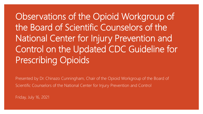Observations of the Opioid Workgroup of the Board of Scientific Counselors of the National Center for Injury Prevention and Control on the Updated CDC Guideline for Prescribing Opioids

Presented by Dr. Chinazo Cunningham, Chair of the Opioid Workgroup of the Board of Scientific Counselors of the National Center for Injury Prevention and Control

Friday, July 16, 2021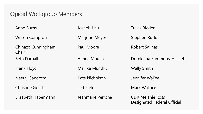#### Opioid Workgroup Members

| <b>Anne Burns</b>            | Joseph Hsu            | <b>Travis Rieder</b>                                           |
|------------------------------|-----------------------|----------------------------------------------------------------|
| <b>Wilson Compton</b>        | <b>Marjorie Meyer</b> | Stephen Rudd                                                   |
| Chinazo Cunningham,<br>Chair | Paul Moore            | <b>Robert Salinas</b>                                          |
| <b>Beth Darnall</b>          | Aimee Moulin          | Doreleena Sammons-Hackett                                      |
| Frank Floyd                  | Mallika Mundkur       | <b>Wally Smith</b>                                             |
| Neeraj Gandotra              | Kate Nicholson        | Jennifer Waljee                                                |
| <b>Christine Goertz</b>      | <b>Ted Park</b>       | <b>Mark Wallace</b>                                            |
| Elizabeth Habermann          | Jeanmarie Perrone     | <b>CDR Melanie Ross,</b><br><b>Designated Federal Official</b> |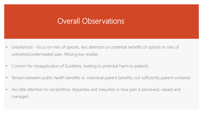#### Overall Observations

- Unbalanced focus on risks of opioids, less attention on potential benefits of opioids or risks of untreated/undertreated pain. Missing key studies
- Concern for misapplication of Guideline, leading to potential harm to patients
- Tension between public health benefits vs. individual patient benefits; not sufficiently patient-centered
- Too little attention to racial/ethnic disparities and inequities in how pain is perceived, valued and managed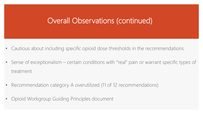# Overall Observations (continued)

- Cautious about including specific opioid dose thresholds in the recommendations
- Sense of exceptionalism certain conditions with "real" pain or warrant specific types of treatment
- Recommendation category A overutilized (11 of 12 recommendations)
- Opioid Workgroup Guiding Principles document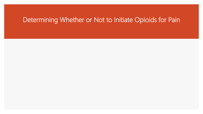#### Determining Whether or Not to Initiate Opioids for Pain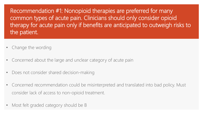Recommendation #1: Nonopioid therapies are preferred for many common types of acute pain. Clinicians should only consider opioid therapy for acute pain only if benefits are anticipated to outweigh risks to the patient.

- Change the wording
- Concerned about the large and unclear category of acute pain
- Does not consider shared decision-making
- Concerned recommendation could be misinterpreted and translated into bad policy. Must consider lack of access to non-opioid treatment.
- Most felt graded category should be B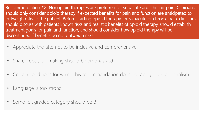Recommendation #2: Nonopioid therapies are preferred for subacute and chronic pain. Clinicians should only consider opioid therapy if expected benefits for pain and function are anticipated to outweigh risks to the patient. Before starting opioid therapy for subacute or chronic pain, clinicians should discuss with patients known risks and realistic benefits of opioid therapy, should establish treatment goals for pain and function, and should consider how opioid therapy will be discontinued if benefits do not outweigh risks.

- Appreciate the attempt to be inclusive and comprehensive
- Shared decision-making should be emphasized
- Certain conditions for which this recommendation does not apply = exceptionalism
- Language is too strong
- Some felt graded category should be B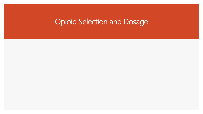# Opioid Selection and Dosage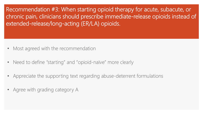Recommendation #3: When starting opioid therapy for acute, subacute, or chronic pain, clinicians should prescribe immediate-release opioids instead of extended-release/long-acting (ER/LA) opioids.

- Most agreed with the recommendation
- Need to define "starting" and "opioid-naïve" more clearly
- Appreciate the supporting text regarding abuse-deterrent formulations
- Agree with grading category A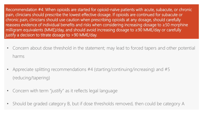Recommendation #4: When opioids are started for opioid-naïve patients with acute, subacute, or chronic pain, clinicians should prescribe the lowest effective dosage. If opioids are continued for subacute or chronic pain, clinicians should use caution when prescribing opioids at any dosage, should carefully reassess evidence of individual benefits and risks when considering increasing dosage to ≥50 morphine milligram equivalents (MME)/day, and should avoid increasing dosage to ≥90 MME/day or carefully justify a decision to titrate dosage to >90 MME/day.

- Concern about dose threshold in the statement; may lead to forced tapers and other potential harms
- Appreciate splitting recommendations #4 (starting/continuing/increasing) and #5 (reducing/tapering)
- Concern with term "justify" as it reflects legal language
- Should be graded category B, but if dose thresholds removed, then could be category A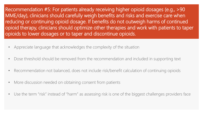Recommendation #5: For patients already receiving higher opioid dosages (e.g., >90 MME/day), clinicians should carefully weigh benefits and risks and exercise care when reducing or continuing opioid dosage. If benefits do not outweigh harms of continued opioid therapy, clinicians should optimize other therapies and work with patients to taper opioids to lower dosages or to taper and discontinue opioids.

- Appreciate language that acknowledges the complexity of the situation
- Dose threshold should be removed from the recommendation and included in supporting text
- Recommendation not balanced, does not include risk/benefit calculation of continuing opioids
- More discussion needed on obtaining consent from patients
- Use the term "risk" instead of "harm" as assessing risk is one of the biggest challenges providers face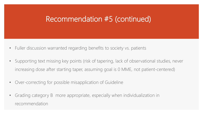# Recommendation #5 (continued)

- Fuller discussion warranted regarding benefits to society vs. patients
- Supporting text missing key points (risk of tapering, lack of observational studies, never increasing dose after starting taper, assuming goal is 0 MME, not patient-centered)
- Over-correcting for possible misapplication of Guideline
- Grading category B more appropriate, especially when individualization in recommendation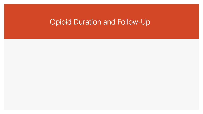# Opioid Duration and Follow-Up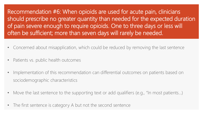Recommendation #6: When opioids are used for acute pain, clinicians should prescribe no greater quantity than needed for the expected duration of pain severe enough to require opioids. One to three days or less will often be sufficient; more than seven days will rarely be needed.

- Concerned about misapplication, which could be reduced by removing the last sentence
- Patients vs. public health outcomes
- Implementation of this recommendation can differential outcomes on patients based on sociodemographic characteristics
- Move the last sentence to the supporting text or add qualifiers (e.g., "In most patients...)
- The first sentence is category A but not the second sentence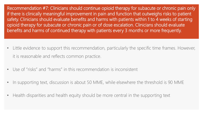Recommendation #7: Clinicians should continue opioid therapy for subacute or chronic pain only if there is clinically meaningful improvement in pain and function that outweighs risks to patient safety. Clinicians should evaluate benefits and harms with patients within 1 to 4 weeks of starting opioid therapy for subacute or chronic pain or of dose escalation. Clinicians should evaluate benefits and harms of continued therapy with patients every 3 months or more frequently.

- Little evidence to support this recommendation, particularly the specific time frames. However, it is reasonable and reflects common practice.
- Use of "risks" and "harms" in this recommendation is inconsistent
- In supporting text, discussion is about 50 MME, while elsewhere the threshold is 90 MME
- Health disparities and health equity should be more central in the supporting text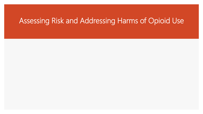# Assessing Risk and Addressing Harms of Opioid Use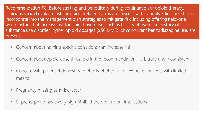Recommendation #8: Before starting and periodically during continuation of opioid therapy, clinicians should evaluate risk for opioid-related harms and discuss with patients. Clinicians should incorporate into the management plan strategies to mitigate risk, including offering naloxone when factors that increase risk for opioid overdose, such as history of overdose, history of substance use disorder, higher opioid dosages (≥50 MME), or concurrent benzodiazepine use, are present.

- Concern about naming specific conditions that increase risk
- Concern about opioid dose threshold in the recommendation—arbitrary and inconsistent
- Concern with potential downstream effects of offering naloxone for patients with limited means
- Pregnancy missing as a risk factor
- Buprenorphine has a very high MME, therefore unclear implications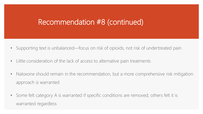# Recommendation #8 (continued)

- Supporting text is unbalanced—focus on risk of opioids, not risk of undertreated pain
- Little consideration of the lack of access to alternative pain treatments
- Naloxone should remain in the recommendation, but a more comprehensive risk mitigation approach is warranted
- Some felt category A is warranted if specific conditions are removed; others felt it is warranted regardless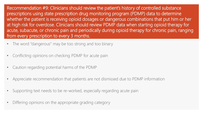Recommendation #9: Clinicians should review the patient's history of controlled substance prescriptions using state prescription drug monitoring program (PDMP) data to determine whether the patient is receiving opioid dosages or dangerous combinations that put him or her at high risk for overdose. Clinicians should review PDMP data when starting opioid therapy for acute, subacute, or chronic pain and periodically during opioid therapy for chronic pain, ranging from every prescription to every 3 months.

- The word "dangerous" may be too strong and too binary
- Conflicting opinions on checking PDMP for acute pain
- Caution regarding potential harms of the PDMP
- Appreciate recommendation that patients are not dismissed due to PDMP information
- Supporting text needs to be re-worked, especially regarding acute pain
- Differing opinions on the appropriate grading category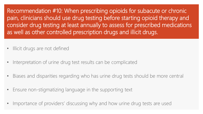Recommendation #10: When prescribing opioids for subacute or chronic pain, clinicians should use drug testing before starting opioid therapy and consider drug testing at least annually to assess for prescribed medications as well as other controlled prescription drugs and illicit drugs.

- Illicit drugs are not defined
- Interpretation of urine drug test results can be complicated
- Biases and disparities regarding who has urine drug tests should be more central
- Ensure non-stigmatizing language in the supporting text
- Importance of providers' discussing why and how urine drug tests are used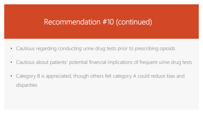# Recommendation #10 (continued)

- Cautious regarding conducting urine drug tests prior to prescribing opioids
- Cautious about patients' potential financial implications of frequent urine drug tests
- Category B is appreciated, though others felt category A could reduce bias and disparities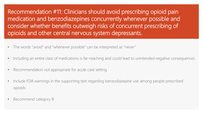Recommendation #11: Clinicians should avoid prescribing opioid pain medication and benzodiazepines concurrently whenever possible and consider whether benefits outweigh risks of concurrent prescribing of opioids and other central nervous system depressants.

- The words "avoid" and "whenever possible" can be interpreted as "never"
- Including an entire class of medications is far-reaching and could lead to unintended negative consequences
- Recommendation not appropriate for acute care setting
- Include FDA warnings in the supporting text regarding benzodiazepine use among people prescribed opioids
- Recommend category B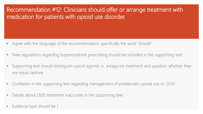#### Recommendation #12: Clinicians should offer or arrange treatment with medication for patients with opioid use disorder.

- Agree with the language of the recommendation, specifically the word "should"
- New regulations regarding buprenorphine prescribing should be included in the supporting text
- Supporting text should distinguish opioid agonist vs. antagonist treatment and question whether they are equal options
- Conflation in the supporting text regarding management of problematic opioid use vs. OUD
- Details about OUD treatment inaccurate in the supporting text
- Evidence type should be 1